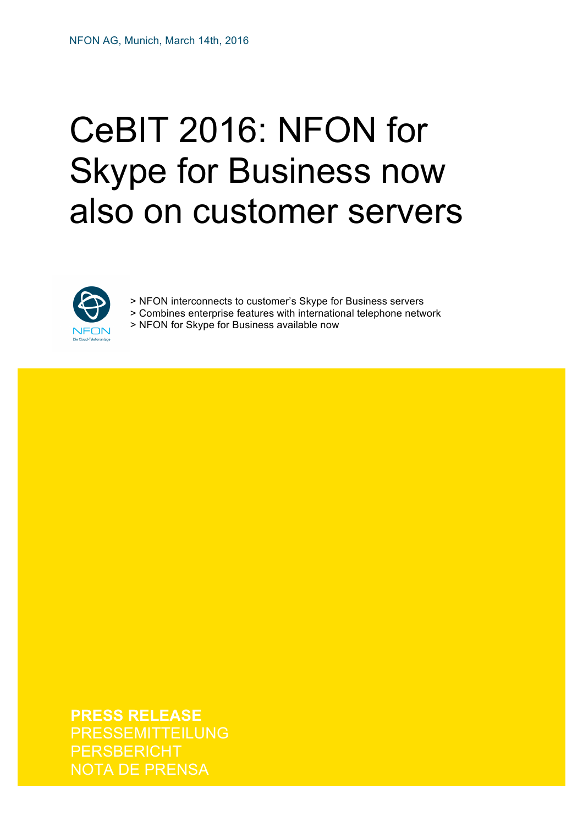# CeBIT 2016: NFON for Skype for Business now also on customer servers



> NFON interconnects to customer's Skype for Business servers > Combines enterprise features with international telephone network > NFON for Skype for Business available now

**For further information please visit our blog nfon.com, our presence on LinkedIn linkedin.com/company/nfon, Twitter**  NOTA DE PRENSA**PRESS RELEASE** RESSEMITTEILUNG **ERSBERICHT** 

**(twitter.com/NFONcom) or Facebook (facebook.com/NFONcom).**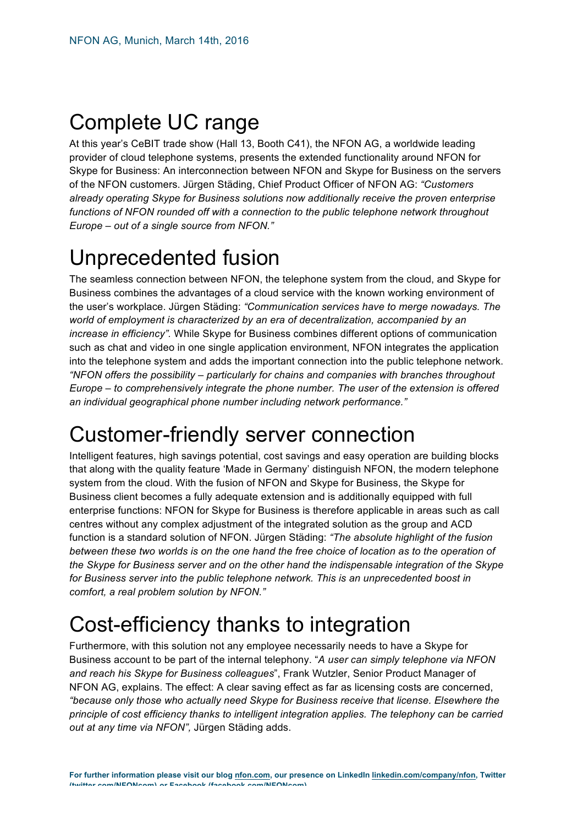## Complete UC range

At this year's CeBIT trade show (Hall 13, Booth C41), the NFON AG, a worldwide leading provider of cloud telephone systems, presents the extended functionality around NFON for Skype for Business: An interconnection between NFON and Skype for Business on the servers of the NFON customers. Jürgen Städing, Chief Product Officer of NFON AG: *"Customers already operating Skype for Business solutions now additionally receive the proven enterprise functions of NFON rounded off with a connection to the public telephone network throughout Europe – out of a single source from NFON."*

## Unprecedented fusion

The seamless connection between NFON, the telephone system from the cloud, and Skype for Business combines the advantages of a cloud service with the known working environment of the user's workplace. Jürgen Städing: *"Communication services have to merge nowadays. The world of employment is characterized by an era of decentralization, accompanied by an increase in efficiency".* While Skype for Business combines different options of communication such as chat and video in one single application environment, NFON integrates the application into the telephone system and adds the important connection into the public telephone network. *"NFON offers the possibility – particularly for chains and companies with branches throughout Europe – to comprehensively integrate the phone number. The user of the extension is offered an individual geographical phone number including network performance."*

### Customer-friendly server connection

Intelligent features, high savings potential, cost savings and easy operation are building blocks that along with the quality feature 'Made in Germany' distinguish NFON, the modern telephone system from the cloud. With the fusion of NFON and Skype for Business, the Skype for Business client becomes a fully adequate extension and is additionally equipped with full enterprise functions: NFON for Skype for Business is therefore applicable in areas such as call centres without any complex adjustment of the integrated solution as the group and ACD function is a standard solution of NFON. Jürgen Städing: *"The absolute highlight of the fusion between these two worlds is on the one hand the free choice of location as to the operation of the Skype for Business server and on the other hand the indispensable integration of the Skype for Business server into the public telephone network. This is an unprecedented boost in comfort, a real problem solution by NFON."*

## Cost-efficiency thanks to integration

Furthermore, with this solution not any employee necessarily needs to have a Skype for Business account to be part of the internal telephony. "*A user can simply telephone via NFON and reach his Skype for Business colleagues*", Frank Wutzler, Senior Product Manager of NFON AG, explains. The effect: A clear saving effect as far as licensing costs are concerned, *"because only those who actually need Skype for Business receive that license. Elsewhere the principle of cost efficiency thanks to intelligent integration applies. The telephony can be carried out at any time via NFON",* Jürgen Städing adds.